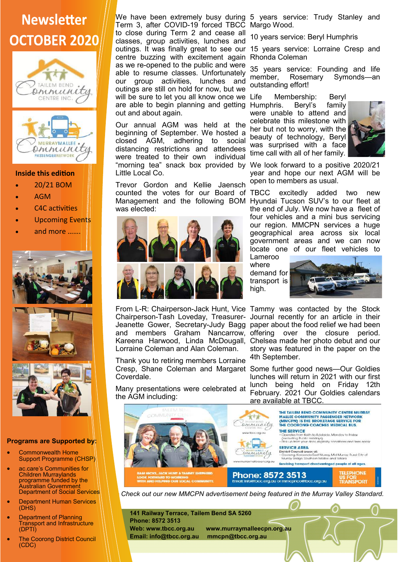## **Newsletter OCTOBER 2020**





## **Inside this edition**

- 20/21 BOM
- AGM
- C4C activities
- **Upcoming Events**
- and more …….



## **Programs are Supported by:**

- Commonwealth Home Support Programme (CHSP)
- ac.care's Communities for Children Murraylands programme funded by the Australian Government Department of Social Services
- Department Human Services  $(DHS)$
- Department of Planning Transport and Infrastructure (DPTI)
- **The Coorong District Council** (CDC)

Term 3, after COVID-19 forced TBCC Margo Wood. to close during Term 2 and cease all classes, group activities, lunches and centre buzzing with excitement again Rhonda Coleman as we re-opened to the public and were able to resume classes. Unfortunately our group activities, lunches and outings are still on hold for now, but we will be sure to let you all know once we Life are able to begin planning and getting Humphris. Beryl's family out and about again.

Our annual AGM was held at the beginning of September. We hosted a closed AGM, adhering to social distancing restrictions and attendees were treated to their own individual "morning tea" snack box provided by We look forward to a positive 2020/21 Little Local Co.

Trevor Gordon and Kellie Jaensch counted the votes for our Board of was elected:



From L-R: Chairperson-Jack Hunt, Vice Tammy was contacted by the Stock Lorraine Coleman and Alan Coleman.

Thank you to retiring members Lorraine Coverdale.

Many presentations were celebrated at the AGM including:

We have been extremely busy during 5 years service: Trudy Stanley and

10 years service: Beryl Humphris

outings. It was finally great to see our 15 years service: Lorraine Cresp and

35 years service: Founding and life member, Rosemary Symonds—an outstanding effort!

Membership: Beryl were unable to attend and celebrate this milestone with her but not to worry, with the beauty of technology, Beryl was surprised with a face time call with all of her family.



year and hope our next AGM will be open to members as usual.

Management and the following BOM Hyundai Tucson SUV's to our fleet at excitedly added two new the end of July. We now have a fleet of four vehicles and a mini bus servicing our region. MMCPN services a huge geographical area across six local government areas and we can now locate one of our fleet vehicles to

Lameroo where demand for transport is high.



Chairperson-Tash Loveday, Treasurer-Journal recently for an article in their Jeanette Gower, Secretary-Judy Bagg paper about the food relief we had been and members Graham Nancarrow, offering over the closure period. Kareena Harwood, Linda McDougall, Chelsea made her photo debut and our story was featured in the paper on the 4th September.

Cresp, Shane Coleman and Margaret Some further good news—Our Goldies lunches will return in 2021 with our first lunch being held on Friday 12th February. 2021 Our Goldies calendars are available at TBCC.



*Check out our new MMCPN advertisement being featured in the Murray Valley Standard.*

**141 Railway Terrace, Tailem Bend SA 5260 Phone: 8572 3513 Web: www.tbcc.org.au www.murraymalleecpn.org.au Email: info@tbcc.org.au mmcpn@tbcc.org.au**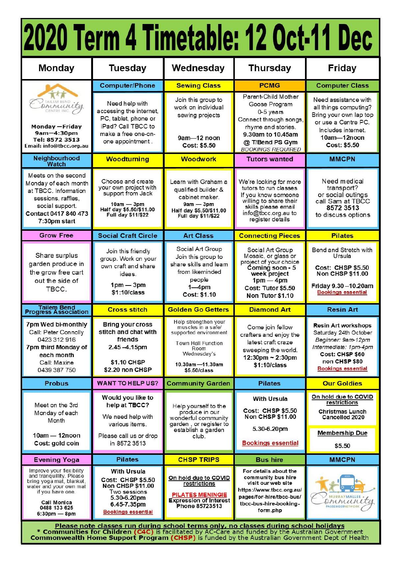| <b>Monday</b>                                                                                                                                                                   | <b>Tuesday</b>                                                                                                                                       | Wednesday                                                                                                                                                                                                | <b>Thursday</b>                                                                                                                                                       | <b>Friday</b>                                                                                                                                                       |
|---------------------------------------------------------------------------------------------------------------------------------------------------------------------------------|------------------------------------------------------------------------------------------------------------------------------------------------------|----------------------------------------------------------------------------------------------------------------------------------------------------------------------------------------------------------|-----------------------------------------------------------------------------------------------------------------------------------------------------------------------|---------------------------------------------------------------------------------------------------------------------------------------------------------------------|
|                                                                                                                                                                                 | <b>Computer/Phone</b>                                                                                                                                | <b>Sewing Class</b>                                                                                                                                                                                      | <b>PCMG</b>                                                                                                                                                           | <b>Computer Class</b>                                                                                                                                               |
| TAILEM BEND ity<br>CENTRE INC.<br>Monday — Friday<br>9am-4:30pm<br>Tel: 8572 3513<br>Email: info@tbcc.org.au                                                                    | Need help with<br>accessing the internet,<br>PC, tablet, phone or<br>iPad? Call TBCC to<br>make a free one-on-<br>one appointment.                   | Join this group to<br>work on individual<br>sewing projects<br>9am-12 noon<br>Cost: \$5.50                                                                                                               | Parent-Child Mother<br>Goose Program<br>0-5 years<br>Connect through songs,<br>rhyme and stories.<br>9.30am to 10.45am<br>@ T/Bend PS Gym<br><b>BOOKINGS REQUIRED</b> | Need assistance with<br>all things computing?<br>Bring your own lap top<br>or use a Centre PC.<br>Includes internet.<br>10am-12noon<br>Cost: \$5.50                 |
| Neighbourhood<br><b>Watch</b>                                                                                                                                                   | <b>Woodturning</b>                                                                                                                                   | <b>Woodwork</b>                                                                                                                                                                                          | <b>Tutors wanted</b>                                                                                                                                                  | <b>MMCPN</b>                                                                                                                                                        |
| Meets on the second<br>Monday of each month<br>at TBCC. Information<br>sessions, raffles,<br>social support.<br>Contact 0417 840 473<br>7:30pm start                            | Choose and create<br>your own project with<br>support from Jack<br>$10am - 3pm$<br>Half day \$5.50/\$11.00<br>Full day \$11/\$22                     | Learn with Graham a<br>qualified builder &<br>cabinet maker.<br>$9am - 3pm$<br>Half day \$5.50/\$11.00<br>Full day \$11/\$22                                                                             | We're looking for more<br>tutors to run classes<br>If you know someone<br>willing to share their<br>skills please email<br>info@tbcc.org.au to<br>register details    | Need medical<br>transport?<br>or social outings<br>call Sam at TBCC<br>8572 3513<br>to discuss options                                                              |
| <b>Grow Free</b>                                                                                                                                                                | <b>Social Craft Circle</b>                                                                                                                           | <b>Art Class</b>                                                                                                                                                                                         | <b>Connecting Pieces</b>                                                                                                                                              | <b>Pilates</b>                                                                                                                                                      |
| Share surplus<br>garden produce in<br>the grow free cart<br>out the side of<br>TBCC.                                                                                            | Join this friendly<br>group. Work on your<br>own craft and share<br>ideas.<br>$1pm - 3pm$<br>\$1:10/class                                            | Social Art Group<br>Join this group to<br>share skills and leam<br>from likeminded<br>people<br>$1 - 4pm$<br>Cost: \$1.10                                                                                | Social Art Group<br>Mosaic, or glass or<br>project of your choice<br>Coming soon - 5<br>week project<br>$1pm-4pm$<br>Cost: Tutor \$5.50<br>Non Tutor \$1.10           | Bend and Stretch with<br>Ursula<br><b>Cost: CHSP \$5.50</b><br><b>Non CHSP \$11.00</b><br>Friday 9.30-10.20am<br><b>Bookings essential</b>                          |
| Tailem Bend<br>Progress Association                                                                                                                                             | <b>Cross stitch</b>                                                                                                                                  | <b>Golden Go Getters</b>                                                                                                                                                                                 | <b>Diamond Art</b>                                                                                                                                                    | <b>Resin Art</b>                                                                                                                                                    |
| 7pm Wed bi-monthly<br>Call: Peter Connolly<br>0423 312 916<br>7pm third Monday of<br>each month<br>Call: Maxine<br>0439 387 750                                                 | <b>Bring your cross</b><br>stitch and chat with<br>friends<br>2.45-4.15pm<br>\$1.10 CHSP<br>\$2.20 non CHSP                                          | Help strengthen your<br>muscles in a safe/<br>supported environment<br><b>Town Hall Function</b><br>Room<br>Wednesday's<br>10.30am-11.30am<br>\$5.50/class                                               | Come join fellow<br>crafters and enjoy the<br>latest craft craze<br>sweeping the world.<br>12:30pm ~ 2:30pm<br>\$1:10/class                                           | <b>Resin Art workshops</b><br>Saturday 24th October<br>Beginner: 9am-12pm<br>Intermediate: 1pm-4pm<br>Cost: CHSP \$60<br>non CHSP \$80<br><b>Bookings essential</b> |
| <b>Probus</b>                                                                                                                                                                   | <b>WANT TO HELP US?</b>                                                                                                                              | <b>Community Garden</b>                                                                                                                                                                                  | <b>Pilates</b>                                                                                                                                                        | <b>Our Goldies</b>                                                                                                                                                  |
| Meet on the 3rd<br>Monday of each<br>Month<br>10am - 12noon<br>Cost: gold coin                                                                                                  | Would you like to<br>help at TBCC?<br>We need help with<br>various items.<br>Please call us or drop<br>in 8572 3513                                  | Help yourself to the<br>produce in our<br>wonderful community<br>garden, or register to<br>establish a garden<br>club.                                                                                   | <b>With Ursula</b><br><b>Cost: CHSP \$5.50</b><br><b>Non CHSP \$11.00</b><br>5.30-6.20pm<br><b>Bookings essential</b>                                                 | On hold due to COVID<br>restrictions<br><b>Christmas Lunch</b><br>Cancelled 2020<br><b>Membership Due</b><br>\$5.50                                                 |
| <b>Evening Yoga</b>                                                                                                                                                             | <b>Pilates</b>                                                                                                                                       | <b>CHSP TRIPS</b>                                                                                                                                                                                        | <b>Bus hire</b>                                                                                                                                                       | <b>MMCPN</b>                                                                                                                                                        |
| Improve your flexibility<br>and tranquillity. Please<br>bring yoga mat, blanket,<br>water and your own mat<br>if you have one.<br>Call Monica<br>0488 133 625<br>$6:30pm - 8pm$ | <b>With Ursula</b><br><b>Cost: CHSP \$5.50</b><br><b>Non CHSP \$11.00</b><br>Two sessions<br>5.30-6.20pm<br>6.45-7.35pm<br><b>Bookings essential</b> | On hold due to COVID<br>restrictions<br><b>PILATES MENINGIE</b><br><b>Expression of Interest</b><br>Phone 85723513<br>Blogge pato classes run during school terms only no classes during school holidays | For details about the<br>community bus hire<br>visit our web site<br>https://www.tbcc.org.au/<br>pages/for-hire/tbcc-bus/<br>tbcc-bus-hire-booking-<br>form.php       | emmunity<br>PASSENGERNETWORK                                                                                                                                        |

Please note classes run during school terms only, no classes during school holidays<br>\* Communities for Children (C4C) is facilitated by AC-Care and funded by the Australian Government<br>Commonwealth Home Support Program (CHSP